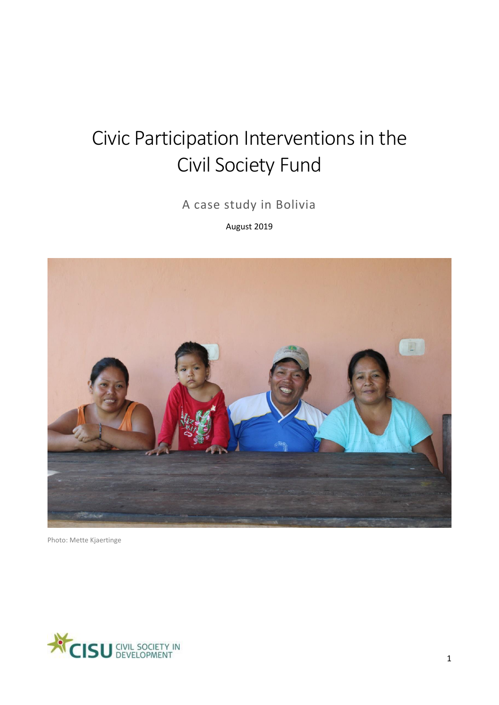# Civic Participation Interventions in the Civil Society Fund

A case study in Bolivia

August 2019



Photo: Mette Kjaertinge

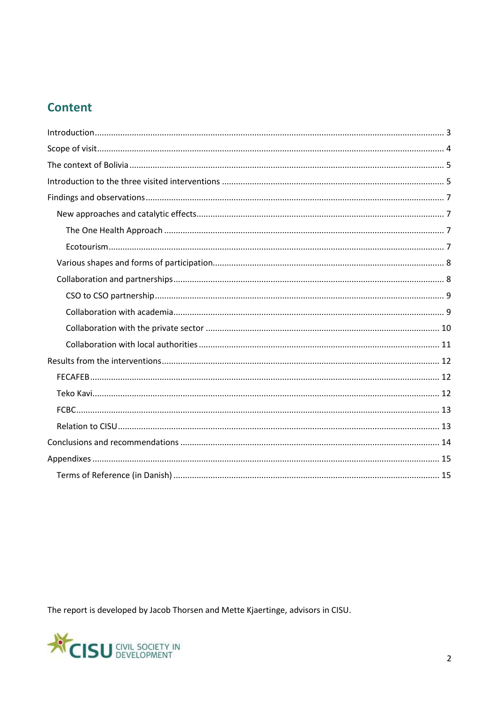# **Content**

The report is developed by Jacob Thorsen and Mette Kjaertinge, advisors in CISU.

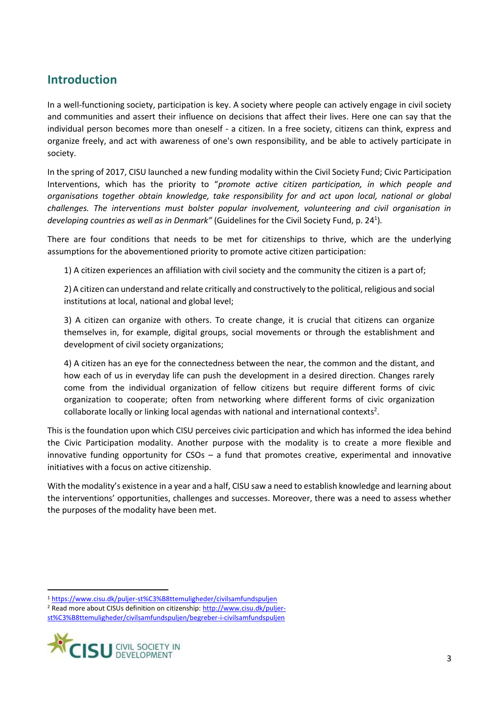### <span id="page-2-0"></span>**Introduction**

In a well-functioning society, participation is key. A society where people can actively engage in civil society and communities and assert their influence on decisions that affect their lives. Here one can say that the individual person becomes more than oneself - a citizen. In a free society, citizens can think, express and organize freely, and act with awareness of one's own responsibility, and be able to actively participate in society.

In the spring of 2017, CISU launched a new funding modality within the Civil Society Fund; Civic Participation Interventions, which has the priority to "*promote active citizen participation, in which people and organisations together obtain knowledge, take responsibility for and act upon local, national or global challenges. The interventions must bolster popular involvement, volunteering and civil organisation in developing countries as well as in Denmark"* (Guidelines for the Civil Society Fund, p. 24<sup>1</sup> )*.*

There are four conditions that needs to be met for citizenships to thrive, which are the underlying assumptions for the abovementioned priority to promote active citizen participation:

1) A citizen experiences an affiliation with civil society and the community the citizen is a part of;

2) A citizen can understand and relate critically and constructively to the political, religious and social institutions at local, national and global level;

3) A citizen can organize with others. To create change, it is crucial that citizens can organize themselves in, for example, digital groups, social movements or through the establishment and development of civil society organizations;

4) A citizen has an eye for the connectedness between the near, the common and the distant, and how each of us in everyday life can push the development in a desired direction. Changes rarely come from the individual organization of fellow citizens but require different forms of civic organization to cooperate; often from networking where different forms of civic organization collaborate locally or linking local agendas with national and international contexts<sup>2</sup>.

This is the foundation upon which CISU perceives civic participation and which has informed the idea behind the Civic Participation modality. Another purpose with the modality is to create a more flexible and innovative funding opportunity for  $CSOs - a$  fund that promotes creative, experimental and innovative initiatives with a focus on active citizenship.

With the modality's existence in a year and a half, CISU saw a need to establish knowledge and learning about the interventions' opportunities, challenges and successes. Moreover, there was a need to assess whether the purposes of the modality have been met.

[st%C3%B8ttemuligheder/civilsamfundspuljen/begreber-i-civilsamfundspuljen](http://www.cisu.dk/puljer-st%C3%B8ttemuligheder/civilsamfundspuljen/begreber-i-civilsamfundspuljen)



**.** 

<sup>1</sup> <https://www.cisu.dk/puljer-st%C3%B8ttemuligheder/civilsamfundspuljen>

<sup>&</sup>lt;sup>2</sup> Read more about CISUs definition on citizenship: [http://www.cisu.dk/puljer-](http://www.cisu.dk/puljer-st%C3%B8ttemuligheder/civilsamfundspuljen/begreber-i-civilsamfundspuljen)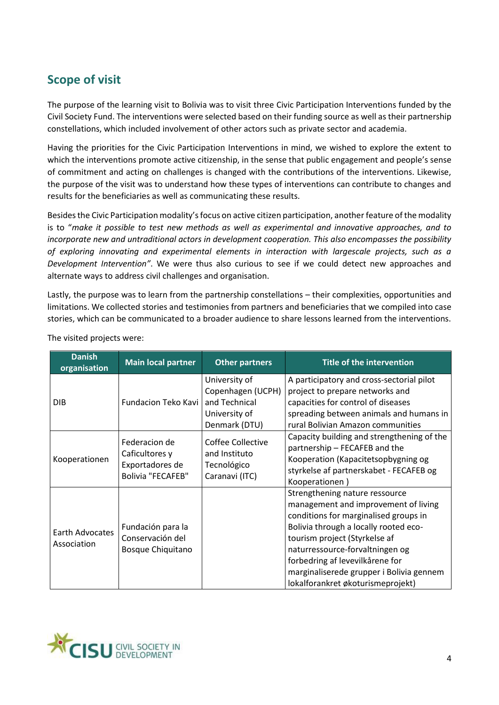# <span id="page-3-0"></span>**Scope of visit**

The purpose of the learning visit to Bolivia was to visit three Civic Participation Interventions funded by the Civil Society Fund. The interventions were selected based on their funding source as well as their partnership constellations, which included involvement of other actors such as private sector and academia.

Having the priorities for the Civic Participation Interventions in mind, we wished to explore the extent to which the interventions promote active citizenship, in the sense that public engagement and people's sense of commitment and acting on challenges is changed with the contributions of the interventions. Likewise, the purpose of the visit was to understand how these types of interventions can contribute to changes and results for the beneficiaries as well as communicating these results.

Besides the Civic Participation modality's focus on active citizen participation, another feature of the modality is to "*make it possible to test new methods as well as experimental and innovative approaches, and to incorporate new and untraditional actors in development cooperation. This also encompasses the possibility of exploring innovating and experimental elements in interaction with largescale projects, such as a Development Intervention"*. We were thus also curious to see if we could detect new approaches and alternate ways to address civil challenges and organisation.

Lastly, the purpose was to learn from the partnership constellations – their complexities, opportunities and limitations. We collected stories and testimonies from partners and beneficiaries that we compiled into case stories, which can be communicated to a broader audience to share lessons learned from the interventions.

| <b>Danish</b><br>organisation  | <b>Main local partner</b>                                                      | <b>Other partners</b>                                                                 | <b>Title of the intervention</b>                                                                                                                                                                                                                                                                                                                 |
|--------------------------------|--------------------------------------------------------------------------------|---------------------------------------------------------------------------------------|--------------------------------------------------------------------------------------------------------------------------------------------------------------------------------------------------------------------------------------------------------------------------------------------------------------------------------------------------|
| <b>DIB</b>                     | Fundacion Teko Kavi                                                            | University of<br>Copenhagen (UCPH)<br>and Technical<br>University of<br>Denmark (DTU) | A participatory and cross-sectorial pilot<br>project to prepare networks and<br>capacities for control of diseases<br>spreading between animals and humans in<br>rural Bolivian Amazon communities                                                                                                                                               |
| Kooperationen                  | Federacion de<br>Caficultores y<br>Exportadores de<br><b>Bolivia "FECAFEB"</b> | Coffee Collective<br>and Instituto<br>Tecnológico<br>Caranavi (ITC)                   | Capacity building and strengthening of the<br>partnership - FECAFEB and the<br>Kooperation (Kapacitetsopbygning og<br>styrkelse af partnerskabet - FECAFEB og<br>Kooperationen)                                                                                                                                                                  |
| Earth Advocates<br>Association | Fundación para la<br>Conservación del<br><b>Bosque Chiquitano</b>              |                                                                                       | Strengthening nature ressource<br>management and improvement of living<br>conditions for marginalised groups in<br>Bolivia through a locally rooted eco-<br>tourism project (Styrkelse af<br>naturressource-forvaltningen og<br>forbedring af levevilkårene for<br>marginaliserede grupper i Bolivia gennem<br>lokalforankret økoturismeprojekt) |

The visited projects were:

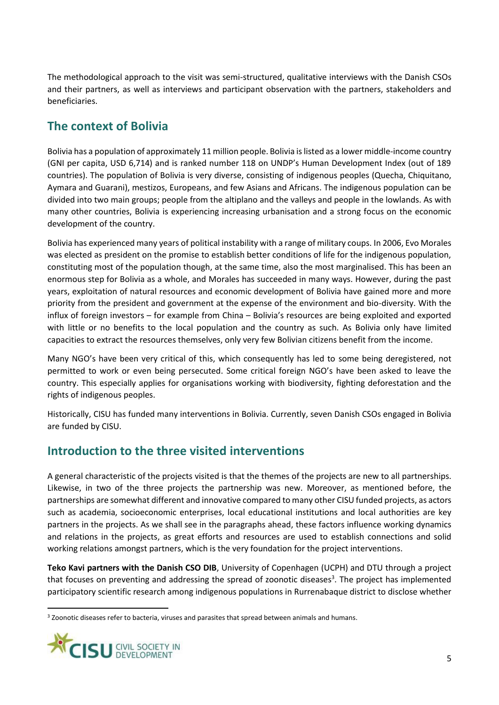The methodological approach to the visit was semi-structured, qualitative interviews with the Danish CSOs and their partners, as well as interviews and participant observation with the partners, stakeholders and beneficiaries.

### <span id="page-4-0"></span>**The context of Bolivia**

Bolivia has a population of approximately 11 million people. Bolivia is listed as a lower middle-income country (GNI per capita, USD 6,714) and is ranked number 118 on UNDP's Human Development Index (out of 189 countries). The population of Bolivia is very diverse, consisting of indigenous peoples (Quecha, Chiquitano, Aymara and Guarani), mestizos, Europeans, and few Asians and Africans. The indigenous population can be divided into two main groups; people from the altiplano and the valleys and people in the lowlands. As with many other countries, Bolivia is experiencing increasing urbanisation and a strong focus on the economic development of the country.

Bolivia has experienced many years of political instability with a range of military coups. In 2006, Evo Morales was elected as president on the promise to establish better conditions of life for the indigenous population, constituting most of the population though, at the same time, also the most marginalised. This has been an enormous step for Bolivia as a whole, and Morales has succeeded in many ways. However, during the past years, exploitation of natural resources and economic development of Bolivia have gained more and more priority from the president and government at the expense of the environment and bio-diversity. With the influx of foreign investors – for example from China – Bolivia's resources are being exploited and exported with little or no benefits to the local population and the country as such. As Bolivia only have limited capacities to extract the resources themselves, only very few Bolivian citizens benefit from the income.

Many NGO's have been very critical of this, which consequently has led to some being deregistered, not permitted to work or even being persecuted. Some critical foreign NGO's have been asked to leave the country. This especially applies for organisations working with biodiversity, fighting deforestation and the rights of indigenous peoples.

Historically, CISU has funded many interventions in Bolivia. Currently, seven Danish CSOs engaged in Bolivia are funded by CISU.

### <span id="page-4-1"></span>**Introduction to the three visited interventions**

A general characteristic of the projects visited is that the themes of the projects are new to all partnerships. Likewise, in two of the three projects the partnership was new. Moreover, as mentioned before, the partnerships are somewhat different and innovative compared to many other CISU funded projects, as actors such as academia, socioeconomic enterprises, local educational institutions and local authorities are key partners in the projects. As we shall see in the paragraphs ahead, these factors influence working dynamics and relations in the projects, as great efforts and resources are used to establish connections and solid working relations amongst partners, which is the very foundation for the project interventions.

**Teko Kavi partners with the Danish CSO DIB**, University of Copenhagen (UCPH) and DTU through a project that focuses on preventing and addressing the spread of zoonotic diseases<sup>3</sup>. The project has implemented participatory scientific research among indigenous populations in Rurrenabaque district to disclose whether

<sup>&</sup>lt;sup>3</sup> Zoonotic diseases refer to bacteria, viruses and parasites that spread between animals and humans.



**.**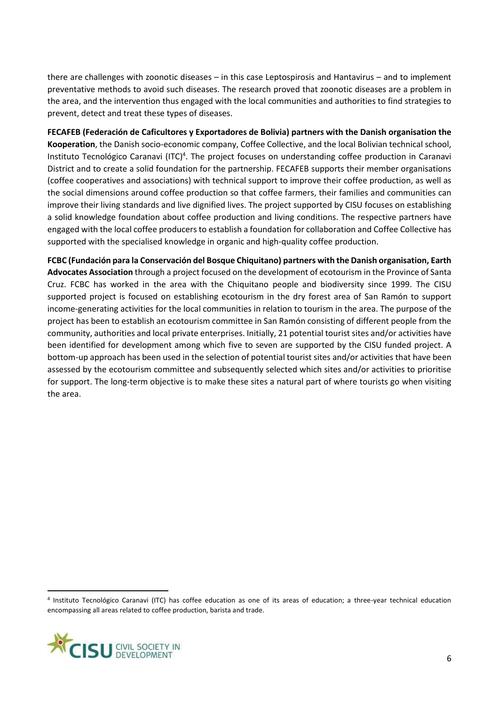there are challenges with zoonotic diseases – in this case Leptospirosis and Hantavirus – and to implement preventative methods to avoid such diseases. The research proved that zoonotic diseases are a problem in the area, and the intervention thus engaged with the local communities and authorities to find strategies to prevent, detect and treat these types of diseases.

**FECAFEB (Federación de Caficultores y Exportadores de Bolivia) partners with the Danish organisation the Kooperation**, the Danish socio-economic company, Coffee Collective, and the local Bolivian technical school, Instituto Tecnológico Caranavi (ITC)<sup>4</sup>. The project focuses on understanding coffee production in Caranavi District and to create a solid foundation for the partnership. FECAFEB supports their member organisations (coffee cooperatives and associations) with technical support to improve their coffee production, as well as the social dimensions around coffee production so that coffee farmers, their families and communities can improve their living standards and live dignified lives. The project supported by CISU focuses on establishing a solid knowledge foundation about coffee production and living conditions. The respective partners have engaged with the local coffee producers to establish a foundation for collaboration and Coffee Collective has supported with the specialised knowledge in organic and high-quality coffee production.

**FCBC (Fundación para la Conservación del Bosque Chiquitano) partners with the Danish organisation, Earth Advocates Association** through a project focused on the development of ecotourism in the Province of Santa Cruz. FCBC has worked in the area with the Chiquitano people and biodiversity since 1999. The CISU supported project is focused on establishing ecotourism in the dry forest area of San Ramón to support income-generating activities for the local communities in relation to tourism in the area. The purpose of the project has been to establish an ecotourism committee in San Ramón consisting of different people from the community, authorities and local private enterprises. Initially, 21 potential tourist sites and/or activities have been identified for development among which five to seven are supported by the CISU funded project. A bottom-up approach has been used in the selection of potential tourist sites and/or activities that have been assessed by the ecotourism committee and subsequently selected which sites and/or activities to prioritise for support. The long-term objective is to make these sites a natural part of where tourists go when visiting the area.

<sup>4</sup> Instituto Tecnológico Caranavi (ITC) has coffee education as one of its areas of education; a three-year technical education encompassing all areas related to coffee production, barista and trade.



1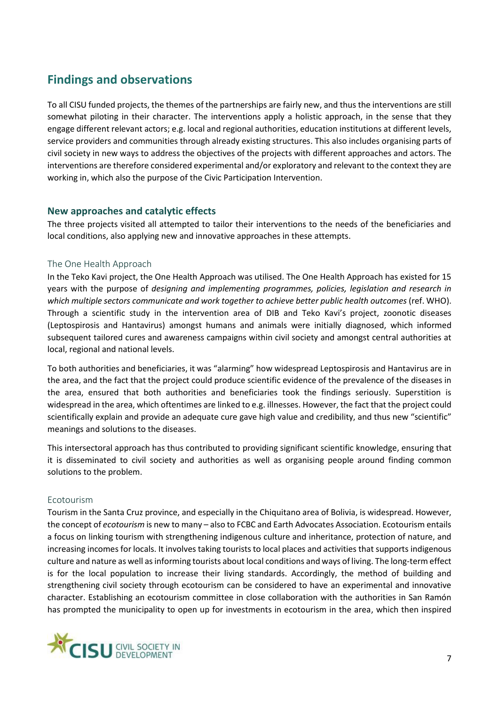# <span id="page-6-0"></span>**Findings and observations**

To all CISU funded projects, the themes of the partnerships are fairly new, and thus the interventions are still somewhat piloting in their character. The interventions apply a holistic approach, in the sense that they engage different relevant actors; e.g. local and regional authorities, education institutions at different levels, service providers and communities through already existing structures. This also includes organising parts of civil society in new ways to address the objectives of the projects with different approaches and actors. The interventions are therefore considered experimental and/or exploratory and relevant to the context they are working in, which also the purpose of the Civic Participation Intervention.

### <span id="page-6-1"></span>**New approaches and catalytic effects**

The three projects visited all attempted to tailor their interventions to the needs of the beneficiaries and local conditions, also applying new and innovative approaches in these attempts.

### <span id="page-6-2"></span>The One Health Approach

In the Teko Kavi project, the One Health Approach was utilised. The One Health Approach has existed for 15 years with the purpose of *designing and implementing programmes, policies, legislation and research in*  which multiple sectors communicate and work together to achieve better public health outcomes (ref. WHO). Through a scientific study in the intervention area of DIB and Teko Kavi's project, zoonotic diseases (Leptospirosis and Hantavirus) amongst humans and animals were initially diagnosed, which informed subsequent tailored cures and awareness campaigns within civil society and amongst central authorities at local, regional and national levels.

To both authorities and beneficiaries, it was "alarming" how widespread Leptospirosis and Hantavirus are in the area, and the fact that the project could produce scientific evidence of the prevalence of the diseases in the area, ensured that both authorities and beneficiaries took the findings seriously. Superstition is widespread in the area, which oftentimes are linked to e.g. illnesses. However, the fact that the project could scientifically explain and provide an adequate cure gave high value and credibility, and thus new "scientific" meanings and solutions to the diseases.

This intersectoral approach has thus contributed to providing significant scientific knowledge, ensuring that it is disseminated to civil society and authorities as well as organising people around finding common solutions to the problem.

### <span id="page-6-3"></span>Ecotourism

Tourism in the Santa Cruz province, and especially in the Chiquitano area of Bolivia, is widespread. However, the concept of *ecotourism* is new to many – also to FCBC and Earth Advocates Association. Ecotourism entails a focus on linking tourism with strengthening indigenous culture and inheritance, protection of nature, and increasing incomes for locals. It involves taking tourists to local places and activities that supports indigenous culture and nature as well as informing tourists about local conditions and ways of living. The long-term effect is for the local population to increase their living standards. Accordingly, the method of building and strengthening civil society through ecotourism can be considered to have an experimental and innovative character. Establishing an ecotourism committee in close collaboration with the authorities in San Ramón has prompted the municipality to open up for investments in ecotourism in the area, which then inspired

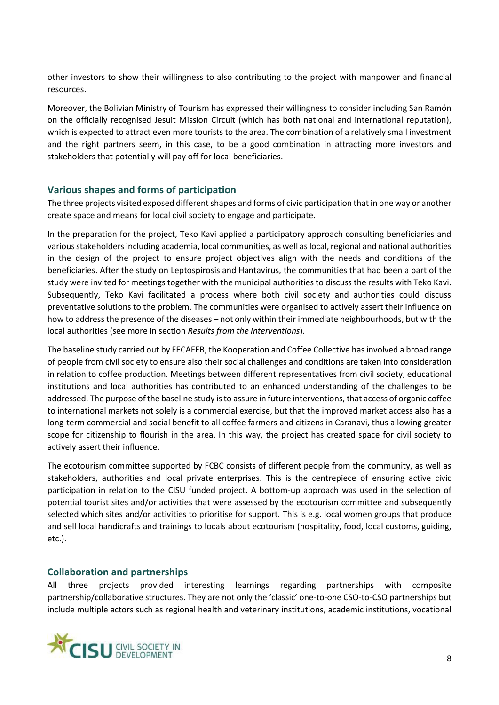other investors to show their willingness to also contributing to the project with manpower and financial resources.

Moreover, the Bolivian Ministry of Tourism has expressed their willingness to consider including San Ramón on the officially recognised Jesuit Mission Circuit (which has both national and international reputation), which is expected to attract even more tourists to the area. The combination of a relatively small investment and the right partners seem, in this case, to be a good combination in attracting more investors and stakeholders that potentially will pay off for local beneficiaries.

### <span id="page-7-0"></span>**Various shapes and forms of participation**

The three projects visited exposed different shapes and forms of civic participation that in one way or another create space and means for local civil society to engage and participate.

In the preparation for the project, Teko Kavi applied a participatory approach consulting beneficiaries and various stakeholders including academia, local communities, as well as local, regional and national authorities in the design of the project to ensure project objectives align with the needs and conditions of the beneficiaries. After the study on Leptospirosis and Hantavirus, the communities that had been a part of the study were invited for meetings together with the municipal authorities to discuss the results with Teko Kavi. Subsequently, Teko Kavi facilitated a process where both civil society and authorities could discuss preventative solutions to the problem. The communities were organised to actively assert their influence on how to address the presence of the diseases – not only within their immediate neighbourhoods, but with the local authorities (see more in section *Results from the interventions*).

The baseline study carried out by FECAFEB, the Kooperation and Coffee Collective has involved a broad range of people from civil society to ensure also their social challenges and conditions are taken into consideration in relation to coffee production. Meetings between different representatives from civil society, educational institutions and local authorities has contributed to an enhanced understanding of the challenges to be addressed. The purpose of the baseline study is to assure in future interventions, that access of organic coffee to international markets not solely is a commercial exercise, but that the improved market access also has a long-term commercial and social benefit to all coffee farmers and citizens in Caranavi, thus allowing greater scope for citizenship to flourish in the area. In this way, the project has created space for civil society to actively assert their influence.

The ecotourism committee supported by FCBC consists of different people from the community, as well as stakeholders, authorities and local private enterprises. This is the centrepiece of ensuring active civic participation in relation to the CISU funded project. A bottom-up approach was used in the selection of potential tourist sites and/or activities that were assessed by the ecotourism committee and subsequently selected which sites and/or activities to prioritise for support. This is e.g. local women groups that produce and sell local handicrafts and trainings to locals about ecotourism (hospitality, food, local customs, guiding, etc.).

### <span id="page-7-1"></span>**Collaboration and partnerships**

All three projects provided interesting learnings regarding partnerships with composite partnership/collaborative structures. They are not only the 'classic' one-to-one CSO-to-CSO partnerships but include multiple actors such as regional health and veterinary institutions, academic institutions, vocational

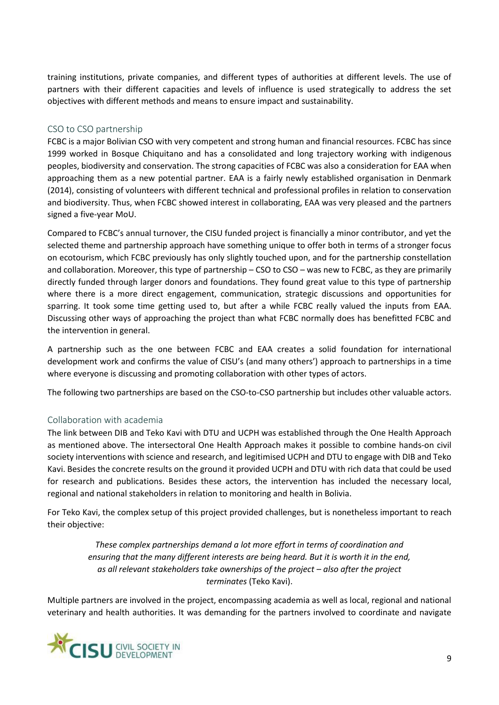training institutions, private companies, and different types of authorities at different levels. The use of partners with their different capacities and levels of influence is used strategically to address the set objectives with different methods and means to ensure impact and sustainability.

### <span id="page-8-0"></span>CSO to CSO partnership

FCBC is a major Bolivian CSO with very competent and strong human and financial resources. FCBC has since 1999 worked in Bosque Chiquitano and has a consolidated and long trajectory working with indigenous peoples, biodiversity and conservation. The strong capacities of FCBC was also a consideration for EAA when approaching them as a new potential partner. EAA is a fairly newly established organisation in Denmark (2014), consisting of volunteers with different technical and professional profiles in relation to conservation and biodiversity. Thus, when FCBC showed interest in collaborating, EAA was very pleased and the partners signed a five-year MoU.

Compared to FCBC's annual turnover, the CISU funded project is financially a minor contributor, and yet the selected theme and partnership approach have something unique to offer both in terms of a stronger focus on ecotourism, which FCBC previously has only slightly touched upon, and for the partnership constellation and collaboration. Moreover, this type of partnership – CSO to CSO – was new to FCBC, as they are primarily directly funded through larger donors and foundations. They found great value to this type of partnership where there is a more direct engagement, communication, strategic discussions and opportunities for sparring. It took some time getting used to, but after a while FCBC really valued the inputs from EAA. Discussing other ways of approaching the project than what FCBC normally does has benefitted FCBC and the intervention in general.

A partnership such as the one between FCBC and EAA creates a solid foundation for international development work and confirms the value of CISU's (and many others') approach to partnerships in a time where everyone is discussing and promoting collaboration with other types of actors.

The following two partnerships are based on the CSO-to-CSO partnership but includes other valuable actors.

### <span id="page-8-1"></span>Collaboration with academia

The link between DIB and Teko Kavi with DTU and UCPH was established through the One Health Approach as mentioned above. The intersectoral One Health Approach makes it possible to combine hands-on civil society interventions with science and research, and legitimised UCPH and DTU to engage with DIB and Teko Kavi. Besides the concrete results on the ground it provided UCPH and DTU with rich data that could be used for research and publications. Besides these actors, the intervention has included the necessary local, regional and national stakeholders in relation to monitoring and health in Bolivia.

For Teko Kavi, the complex setup of this project provided challenges, but is nonetheless important to reach their objective:

> *These complex partnerships demand a lot more effort in terms of coordination and ensuring that the many different interests are being heard. But it is worth it in the end, as all relevant stakeholders take ownerships of the project – also after the project terminates* (Teko Kavi).

Multiple partners are involved in the project, encompassing academia as well as local, regional and national veterinary and health authorities. It was demanding for the partners involved to coordinate and navigate

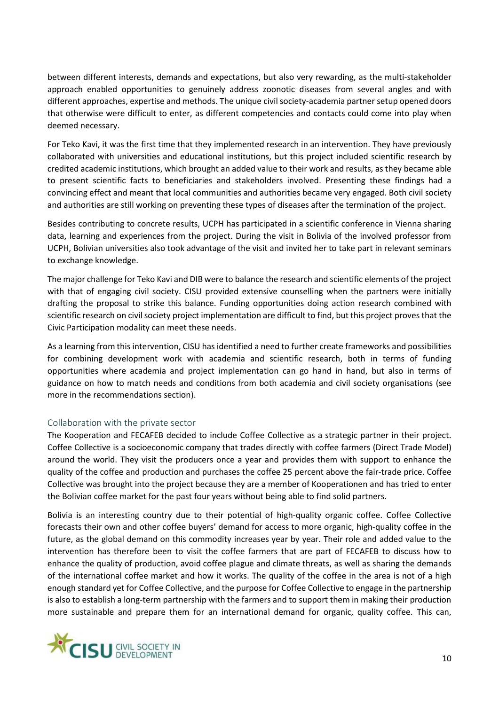between different interests, demands and expectations, but also very rewarding, as the multi-stakeholder approach enabled opportunities to genuinely address zoonotic diseases from several angles and with different approaches, expertise and methods. The unique civil society-academia partner setup opened doors that otherwise were difficult to enter, as different competencies and contacts could come into play when deemed necessary.

For Teko Kavi, it was the first time that they implemented research in an intervention. They have previously collaborated with universities and educational institutions, but this project included scientific research by credited academic institutions, which brought an added value to their work and results, as they became able to present scientific facts to beneficiaries and stakeholders involved. Presenting these findings had a convincing effect and meant that local communities and authorities became very engaged. Both civil society and authorities are still working on preventing these types of diseases after the termination of the project.

Besides contributing to concrete results, UCPH has participated in a scientific conference in Vienna sharing data, learning and experiences from the project. During the visit in Bolivia of the involved professor from UCPH, Bolivian universities also took advantage of the visit and invited her to take part in relevant seminars to exchange knowledge.

The major challenge for Teko Kavi and DIB were to balance the research and scientific elements of the project with that of engaging civil society. CISU provided extensive counselling when the partners were initially drafting the proposal to strike this balance. Funding opportunities doing action research combined with scientific research on civil society project implementation are difficult to find, but this project proves that the Civic Participation modality can meet these needs.

As a learning from this intervention, CISU has identified a need to further create frameworks and possibilities for combining development work with academia and scientific research, both in terms of funding opportunities where academia and project implementation can go hand in hand, but also in terms of guidance on how to match needs and conditions from both academia and civil society organisations (see more in the recommendations section).

### <span id="page-9-0"></span>Collaboration with the private sector

The Kooperation and FECAFEB decided to include Coffee Collective as a strategic partner in their project. Coffee Collective is a socioeconomic company that trades directly with coffee farmers (Direct Trade Model) around the world. They visit the producers once a year and provides them with support to enhance the quality of the coffee and production and purchases the coffee 25 percent above the fair-trade price. Coffee Collective was brought into the project because they are a member of Kooperationen and has tried to enter the Bolivian coffee market for the past four years without being able to find solid partners.

Bolivia is an interesting country due to their potential of high-quality organic coffee. Coffee Collective forecasts their own and other coffee buyers' demand for access to more organic, high-quality coffee in the future, as the global demand on this commodity increases year by year. Their role and added value to the intervention has therefore been to visit the coffee farmers that are part of FECAFEB to discuss how to enhance the quality of production, avoid coffee plague and climate threats, as well as sharing the demands of the international coffee market and how it works. The quality of the coffee in the area is not of a high enough standard yet for Coffee Collective, and the purpose for Coffee Collective to engage in the partnership is also to establish a long-term partnership with the farmers and to support them in making their production more sustainable and prepare them for an international demand for organic, quality coffee. This can,

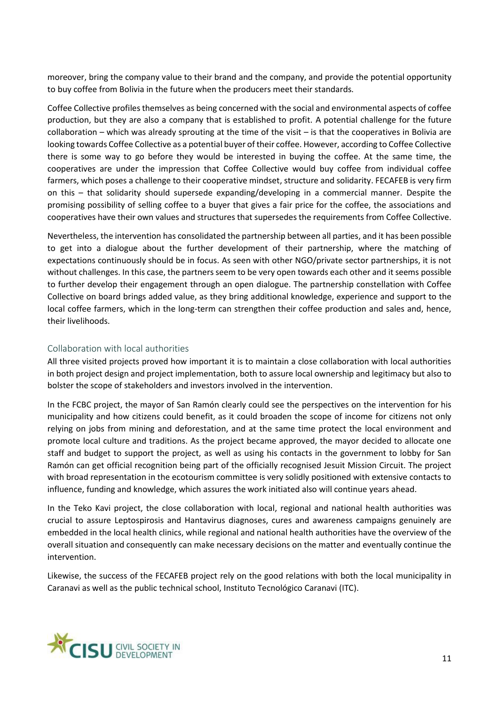moreover, bring the company value to their brand and the company, and provide the potential opportunity to buy coffee from Bolivia in the future when the producers meet their standards.

Coffee Collective profiles themselves as being concerned with the social and environmental aspects of coffee production, but they are also a company that is established to profit. A potential challenge for the future collaboration – which was already sprouting at the time of the visit – is that the cooperatives in Bolivia are looking towards Coffee Collective as a potential buyer of their coffee. However, according to Coffee Collective there is some way to go before they would be interested in buying the coffee. At the same time, the cooperatives are under the impression that Coffee Collective would buy coffee from individual coffee farmers, which poses a challenge to their cooperative mindset, structure and solidarity. FECAFEB is very firm on this – that solidarity should supersede expanding/developing in a commercial manner. Despite the promising possibility of selling coffee to a buyer that gives a fair price for the coffee, the associations and cooperatives have their own values and structures that supersedes the requirements from Coffee Collective.

Nevertheless, the intervention has consolidated the partnership between all parties, and it has been possible to get into a dialogue about the further development of their partnership, where the matching of expectations continuously should be in focus. As seen with other NGO/private sector partnerships, it is not without challenges. In this case, the partners seem to be very open towards each other and it seems possible to further develop their engagement through an open dialogue. The partnership constellation with Coffee Collective on board brings added value, as they bring additional knowledge, experience and support to the local coffee farmers, which in the long-term can strengthen their coffee production and sales and, hence, their livelihoods.

### <span id="page-10-0"></span>Collaboration with local authorities

All three visited projects proved how important it is to maintain a close collaboration with local authorities in both project design and project implementation, both to assure local ownership and legitimacy but also to bolster the scope of stakeholders and investors involved in the intervention.

In the FCBC project, the mayor of San Ramón clearly could see the perspectives on the intervention for his municipality and how citizens could benefit, as it could broaden the scope of income for citizens not only relying on jobs from mining and deforestation, and at the same time protect the local environment and promote local culture and traditions. As the project became approved, the mayor decided to allocate one staff and budget to support the project, as well as using his contacts in the government to lobby for San Ramón can get official recognition being part of the officially recognised Jesuit Mission Circuit. The project with broad representation in the ecotourism committee is very solidly positioned with extensive contacts to influence, funding and knowledge, which assures the work initiated also will continue years ahead.

In the Teko Kavi project, the close collaboration with local, regional and national health authorities was crucial to assure Leptospirosis and Hantavirus diagnoses, cures and awareness campaigns genuinely are embedded in the local health clinics, while regional and national health authorities have the overview of the overall situation and consequently can make necessary decisions on the matter and eventually continue the intervention.

Likewise, the success of the FECAFEB project rely on the good relations with both the local municipality in Caranavi as well as the public technical school, Instituto Tecnológico Caranavi (ITC).

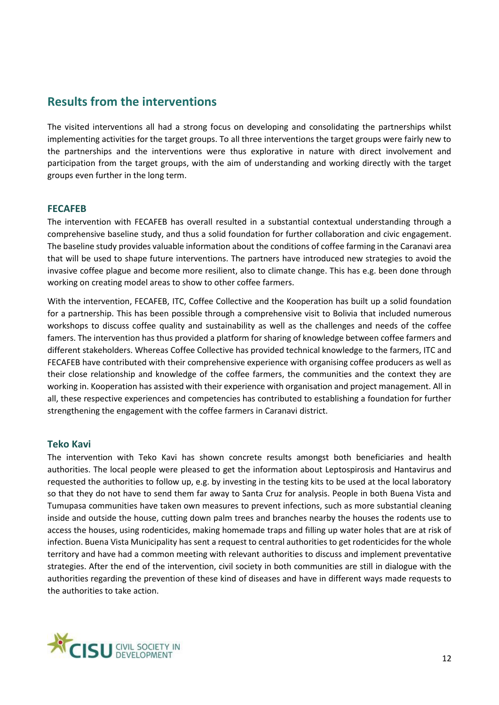### <span id="page-11-0"></span>**Results from the interventions**

The visited interventions all had a strong focus on developing and consolidating the partnerships whilst implementing activities for the target groups. To all three interventions the target groups were fairly new to the partnerships and the interventions were thus explorative in nature with direct involvement and participation from the target groups, with the aim of understanding and working directly with the target groups even further in the long term.

### <span id="page-11-1"></span>**FECAFEB**

The intervention with FECAFEB has overall resulted in a substantial contextual understanding through a comprehensive baseline study, and thus a solid foundation for further collaboration and civic engagement. The baseline study provides valuable information about the conditions of coffee farming in the Caranavi area that will be used to shape future interventions. The partners have introduced new strategies to avoid the invasive coffee plague and become more resilient, also to climate change. This has e.g. been done through working on creating model areas to show to other coffee farmers.

With the intervention, FECAFEB, ITC, Coffee Collective and the Kooperation has built up a solid foundation for a partnership. This has been possible through a comprehensive visit to Bolivia that included numerous workshops to discuss coffee quality and sustainability as well as the challenges and needs of the coffee famers. The intervention has thus provided a platform for sharing of knowledge between coffee farmers and different stakeholders. Whereas Coffee Collective has provided technical knowledge to the farmers, ITC and FECAFEB have contributed with their comprehensive experience with organising coffee producers as well as their close relationship and knowledge of the coffee farmers, the communities and the context they are working in. Kooperation has assisted with their experience with organisation and project management. All in all, these respective experiences and competencies has contributed to establishing a foundation for further strengthening the engagement with the coffee farmers in Caranavi district.

### <span id="page-11-2"></span>**Teko Kavi**

The intervention with Teko Kavi has shown concrete results amongst both beneficiaries and health authorities. The local people were pleased to get the information about Leptospirosis and Hantavirus and requested the authorities to follow up, e.g. by investing in the testing kits to be used at the local laboratory so that they do not have to send them far away to Santa Cruz for analysis. People in both Buena Vista and Tumupasa communities have taken own measures to prevent infections, such as more substantial cleaning inside and outside the house, cutting down palm trees and branches nearby the houses the rodents use to access the houses, using rodenticides, making homemade traps and filling up water holes that are at risk of infection. Buena Vista Municipality has sent a request to central authorities to get rodenticides for the whole territory and have had a common meeting with relevant authorities to discuss and implement preventative strategies. After the end of the intervention, civil society in both communities are still in dialogue with the authorities regarding the prevention of these kind of diseases and have in different ways made requests to the authorities to take action.

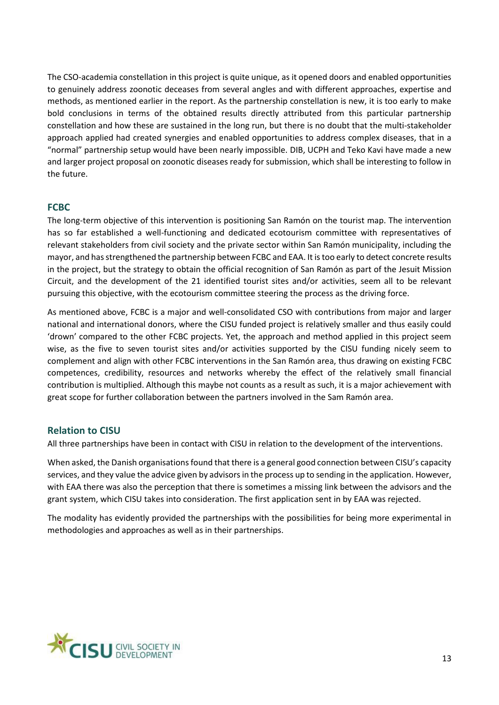The CSO-academia constellation in this project is quite unique, as it opened doors and enabled opportunities to genuinely address zoonotic deceases from several angles and with different approaches, expertise and methods, as mentioned earlier in the report. As the partnership constellation is new, it is too early to make bold conclusions in terms of the obtained results directly attributed from this particular partnership constellation and how these are sustained in the long run, but there is no doubt that the multi-stakeholder approach applied had created synergies and enabled opportunities to address complex diseases, that in a "normal" partnership setup would have been nearly impossible. DIB, UCPH and Teko Kavi have made a new and larger project proposal on zoonotic diseases ready for submission, which shall be interesting to follow in the future.

### <span id="page-12-0"></span>**FCBC**

The long-term objective of this intervention is positioning San Ramón on the tourist map. The intervention has so far established a well-functioning and dedicated ecotourism committee with representatives of relevant stakeholders from civil society and the private sector within San Ramón municipality, including the mayor, and has strengthened the partnership between FCBC and EAA. It is too early to detect concrete results in the project, but the strategy to obtain the official recognition of San Ramón as part of the Jesuit Mission Circuit, and the development of the 21 identified tourist sites and/or activities, seem all to be relevant pursuing this objective, with the ecotourism committee steering the process as the driving force.

As mentioned above, FCBC is a major and well-consolidated CSO with contributions from major and larger national and international donors, where the CISU funded project is relatively smaller and thus easily could 'drown' compared to the other FCBC projects. Yet, the approach and method applied in this project seem wise, as the five to seven tourist sites and/or activities supported by the CISU funding nicely seem to complement and align with other FCBC interventions in the San Ramón area, thus drawing on existing FCBC competences, credibility, resources and networks whereby the effect of the relatively small financial contribution is multiplied. Although this maybe not counts as a result as such, it is a major achievement with great scope for further collaboration between the partners involved in the Sam Ramón area.

### <span id="page-12-1"></span>**Relation to CISU**

All three partnerships have been in contact with CISU in relation to the development of the interventions.

When asked, the Danish organisations found that there is a general good connection between CISU's capacity services, and they value the advice given by advisors in the process up to sending in the application. However, with EAA there was also the perception that there is sometimes a missing link between the advisors and the grant system, which CISU takes into consideration. The first application sent in by EAA was rejected.

The modality has evidently provided the partnerships with the possibilities for being more experimental in methodologies and approaches as well as in their partnerships.

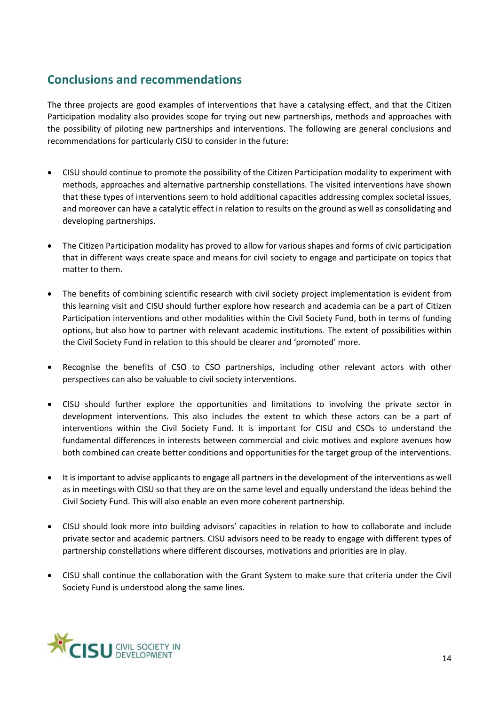# <span id="page-13-0"></span>**Conclusions and recommendations**

The three projects are good examples of interventions that have a catalysing effect, and that the Citizen Participation modality also provides scope for trying out new partnerships, methods and approaches with the possibility of piloting new partnerships and interventions. The following are general conclusions and recommendations for particularly CISU to consider in the future:

- CISU should continue to promote the possibility of the Citizen Participation modality to experiment with methods, approaches and alternative partnership constellations. The visited interventions have shown that these types of interventions seem to hold additional capacities addressing complex societal issues, and moreover can have a catalytic effect in relation to results on the ground as well as consolidating and developing partnerships.
- The Citizen Participation modality has proved to allow for various shapes and forms of civic participation that in different ways create space and means for civil society to engage and participate on topics that matter to them.
- The benefits of combining scientific research with civil society project implementation is evident from this learning visit and CISU should further explore how research and academia can be a part of Citizen Participation interventions and other modalities within the Civil Society Fund, both in terms of funding options, but also how to partner with relevant academic institutions. The extent of possibilities within the Civil Society Fund in relation to this should be clearer and 'promoted' more.
- Recognise the benefits of CSO to CSO partnerships, including other relevant actors with other perspectives can also be valuable to civil society interventions.
- CISU should further explore the opportunities and limitations to involving the private sector in development interventions. This also includes the extent to which these actors can be a part of interventions within the Civil Society Fund. It is important for CISU and CSOs to understand the fundamental differences in interests between commercial and civic motives and explore avenues how both combined can create better conditions and opportunities for the target group of the interventions.
- It is important to advise applicants to engage all partners in the development of the interventions as well as in meetings with CISU so that they are on the same level and equally understand the ideas behind the Civil Society Fund. This will also enable an even more coherent partnership.
- CISU should look more into building advisors' capacities in relation to how to collaborate and include private sector and academic partners. CISU advisors need to be ready to engage with different types of partnership constellations where different discourses, motivations and priorities are in play.
- CISU shall continue the collaboration with the Grant System to make sure that criteria under the Civil Society Fund is understood along the same lines.

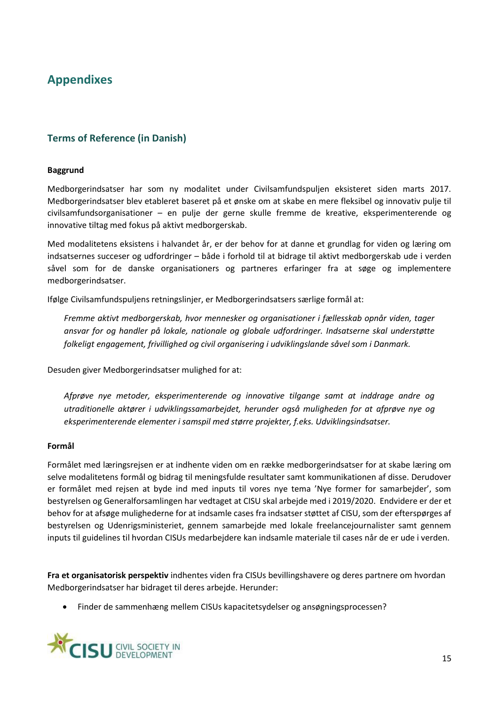# <span id="page-14-0"></span>**Appendixes**

### <span id="page-14-1"></span>**Terms of Reference (in Danish)**

#### **Baggrund**

Medborgerindsatser har som ny modalitet under Civilsamfundspuljen eksisteret siden marts 2017. Medborgerindsatser blev etableret baseret på et ønske om at skabe en mere fleksibel og innovativ pulje til civilsamfundsorganisationer – en pulje der gerne skulle fremme de kreative, eksperimenterende og innovative tiltag med fokus på aktivt medborgerskab.

Med modalitetens eksistens i halvandet år, er der behov for at danne et grundlag for viden og læring om indsatsernes succeser og udfordringer – både i forhold til at bidrage til aktivt medborgerskab ude i verden såvel som for de danske organisationers og partneres erfaringer fra at søge og implementere medborgerindsatser.

Ifølge Civilsamfundspuljens retningslinjer, er Medborgerindsatsers særlige formål at:

*Fremme aktivt medborgerskab, hvor mennesker og organisationer i fællesskab opnår viden, tager ansvar for og handler på lokale, nationale og globale udfordringer. Indsatserne skal understøtte folkeligt engagement, frivillighed og civil organisering i udviklingslande såvel som i Danmark.*

Desuden giver Medborgerindsatser mulighed for at:

*Afprøve nye metoder, eksperimenterende og innovative tilgange samt at inddrage andre og utraditionelle aktører i udviklingssamarbejdet, herunder også muligheden for at afprøve nye og eksperimenterende elementer i samspil med større projekter, f.eks. Udviklingsindsatser.*

#### **Formål**

Formålet med læringsrejsen er at indhente viden om en række medborgerindsatser for at skabe læring om selve modalitetens formål og bidrag til meningsfulde resultater samt kommunikationen af disse. Derudover er formålet med rejsen at byde ind med inputs til vores nye tema 'Nye former for samarbejder', som bestyrelsen og Generalforsamlingen har vedtaget at CISU skal arbejde med i 2019/2020. Endvidere er der et behov for at afsøge mulighederne for at indsamle cases fra indsatser støttet af CISU, som der efterspørges af bestyrelsen og Udenrigsministeriet, gennem samarbejde med lokale freelancejournalister samt gennem inputs til guidelines til hvordan CISUs medarbejdere kan indsamle materiale til cases når de er ude i verden.

**Fra et organisatorisk perspektiv** indhentes viden fra CISUs bevillingshavere og deres partnere om hvordan Medborgerindsatser har bidraget til deres arbejde. Herunder:

• Finder de sammenhæng mellem CISUs kapacitetsydelser og ansøgningsprocessen?

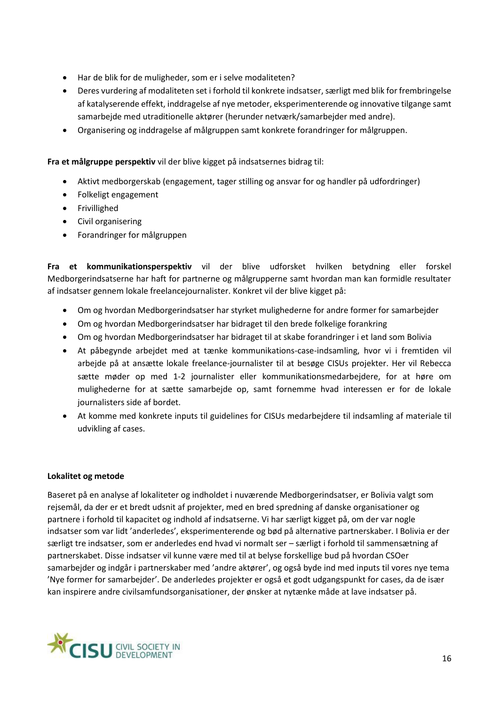- Har de blik for de muligheder, som er i selve modaliteten?
- Deres vurdering af modaliteten set i forhold til konkrete indsatser, særligt med blik for frembringelse af katalyserende effekt, inddragelse af nye metoder, eksperimenterende og innovative tilgange samt samarbejde med utraditionelle aktører (herunder netværk/samarbejder med andre).
- Organisering og inddragelse af målgruppen samt konkrete forandringer for målgruppen.

**Fra et målgruppe perspektiv** vil der blive kigget på indsatsernes bidrag til:

- Aktivt medborgerskab (engagement, tager stilling og ansvar for og handler på udfordringer)
- Folkeligt engagement
- Frivillighed
- Civil organisering
- Forandringer for målgruppen

**Fra et kommunikationsperspektiv** vil der blive udforsket hvilken betydning eller forskel Medborgerindsatserne har haft for partnerne og målgrupperne samt hvordan man kan formidle resultater af indsatser gennem lokale freelancejournalister. Konkret vil der blive kigget på:

- Om og hvordan Medborgerindsatser har styrket mulighederne for andre former for samarbejder
- Om og hvordan Medborgerindsatser har bidraget til den brede folkelige forankring
- Om og hvordan Medborgerindsatser har bidraget til at skabe forandringer i et land som Bolivia
- At påbegynde arbejdet med at tænke kommunikations-case-indsamling, hvor vi i fremtiden vil arbejde på at ansætte lokale freelance-journalister til at besøge CISUs projekter. Her vil Rebecca sætte møder op med 1-2 journalister eller kommunikationsmedarbejdere, for at høre om mulighederne for at sætte samarbejde op, samt fornemme hvad interessen er for de lokale journalisters side af bordet.
- At komme med konkrete inputs til guidelines for CISUs medarbejdere til indsamling af materiale til udvikling af cases.

#### **Lokalitet og metode**

Baseret på en analyse af lokaliteter og indholdet i nuværende Medborgerindsatser, er Bolivia valgt som rejsemål, da der er et bredt udsnit af projekter, med en bred spredning af danske organisationer og partnere i forhold til kapacitet og indhold af indsatserne. Vi har særligt kigget på, om der var nogle indsatser som var lidt 'anderledes', eksperimenterende og bød på alternative partnerskaber. I Bolivia er der særligt tre indsatser, som er anderledes end hvad vi normalt ser – særligt i forhold til sammensætning af partnerskabet. Disse indsatser vil kunne være med til at belyse forskellige bud på hvordan CSOer samarbejder og indgår i partnerskaber med 'andre aktører', og også byde ind med inputs til vores nye tema 'Nye former for samarbejder'. De anderledes projekter er også et godt udgangspunkt for cases, da de især kan inspirere andre civilsamfundsorganisationer, der ønsker at nytænke måde at lave indsatser på.

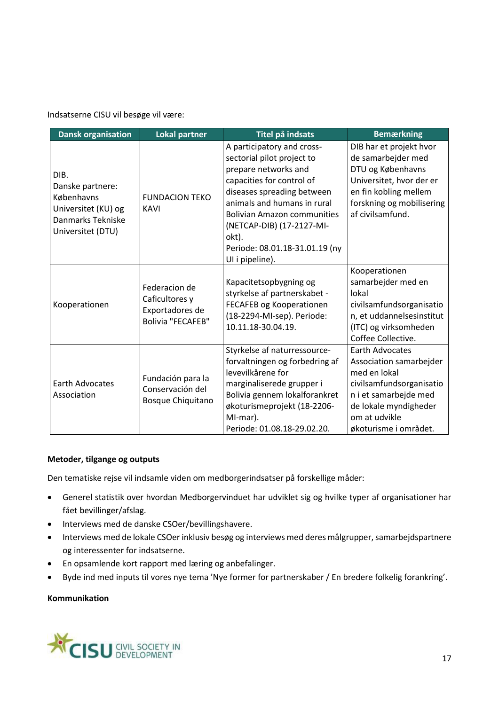Indsatserne CISU vil besøge vil være:

| <b>Dansk organisation</b>                                                                               | <b>Lokal partner</b>                                                           | Titel på indsats                                                                                                                                                                                                                                                                                            | <b>Bemærkning</b>                                                                                                                                                                         |
|---------------------------------------------------------------------------------------------------------|--------------------------------------------------------------------------------|-------------------------------------------------------------------------------------------------------------------------------------------------------------------------------------------------------------------------------------------------------------------------------------------------------------|-------------------------------------------------------------------------------------------------------------------------------------------------------------------------------------------|
| DIB.<br>Danske partnere:<br>Københavns<br>Universitet (KU) og<br>Danmarks Tekniske<br>Universitet (DTU) | <b>FUNDACION TEKO</b><br><b>KAVI</b>                                           | A participatory and cross-<br>sectorial pilot project to<br>prepare networks and<br>capacities for control of<br>diseases spreading between<br>animals and humans in rural<br><b>Bolivian Amazon communities</b><br>(NETCAP-DIB) (17-2127-MI-<br>okt).<br>Periode: 08.01.18-31.01.19 (ny<br>UI i pipeline). | DIB har et projekt hvor<br>de samarbejder med<br>DTU og Københavns<br>Universitet, hvor der er<br>en fin kobling mellem<br>forskning og mobilisering<br>af civilsamfund.                  |
| Kooperationen                                                                                           | Federacion de<br>Caficultores y<br>Exportadores de<br><b>Bolivia "FECAFEB"</b> | Kapacitetsopbygning og<br>styrkelse af partnerskabet -<br>FECAFEB og Kooperationen<br>(18-2294-MI-sep). Periode:<br>10.11.18-30.04.19.                                                                                                                                                                      | Kooperationen<br>samarbejder med en<br>lokal<br>civilsamfundsorganisatio<br>n, et uddannelsesinstitut<br>(ITC) og virksomheden<br>Coffee Collective.                                      |
| <b>Earth Advocates</b><br>Association                                                                   | Fundación para la<br>Conservación del<br>Bosque Chiquitano                     | Styrkelse af naturressource-<br>forvaltningen og forbedring af<br>levevilkårene for<br>marginaliserede grupper i<br>Bolivia gennem lokalforankret<br>økoturismeprojekt (18-2206-<br>MI-mar).<br>Periode: 01.08.18-29.02.20.                                                                                 | <b>Earth Advocates</b><br>Association samarbejder<br>med en lokal<br>civilsamfundsorganisatio<br>n i et samarbejde med<br>de lokale myndigheder<br>om at udvikle<br>økoturisme i området. |

### **Metoder, tilgange og outputs**

Den tematiske rejse vil indsamle viden om medborgerindsatser på forskellige måder:

- Generel statistik over hvordan Medborgervinduet har udviklet sig og hvilke typer af organisationer har fået bevillinger/afslag.
- Interviews med de danske CSOer/bevillingshavere.
- Interviews med de lokale CSOer inklusiv besøg og interviews med deres målgrupper, samarbejdspartnere og interessenter for indsatserne.
- En opsamlende kort rapport med læring og anbefalinger.
- Byde ind med inputs til vores nye tema 'Nye former for partnerskaber / En bredere folkelig forankring'.

#### **Kommunikation**